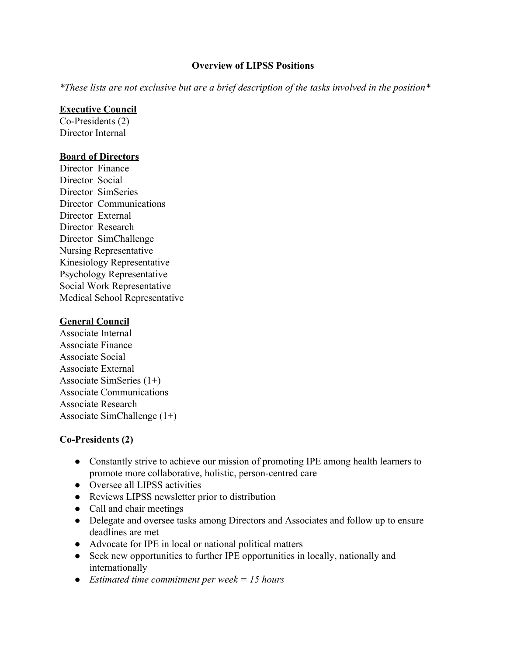### **Overview of LIPSS Positions**

*\*These lists are not exclusive but are a brief description of the tasks involved in the position\**

### **Executive Council**

Co-Presidents (2) Director Internal

#### **Board of Directors**

Director Finance Director Social Director SimSeries Director Communications Director External Director Research Director SimChallenge Nursing Representative Kinesiology Representative Psychology Representative Social Work Representative Medical School Representative

#### **General Council**

Associate Internal Associate Finance Associate Social Associate External Associate SimSeries (1+) Associate Communications Associate Research Associate SimChallenge (1+)

### **Co-Presidents (2)**

- Constantly strive to achieve our mission of promoting IPE among health learners to promote more collaborative, holistic, person-centred care
- Oversee all LIPSS activities
- Reviews LIPSS newsletter prior to distribution
- Call and chair meetings
- Delegate and oversee tasks among Directors and Associates and follow up to ensure deadlines are met
- Advocate for IPE in local or national political matters
- Seek new opportunities to further IPE opportunities in locally, nationally and internationally
- *● Estimated time commitment per week = 15 hours*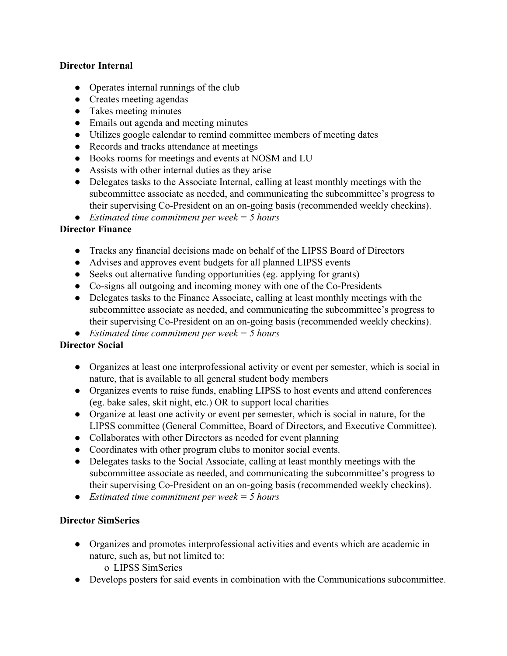### **Director Internal**

- Operates internal runnings of the club
- Creates meeting agendas
- Takes meeting minutes
- Emails out agenda and meeting minutes
- Utilizes google calendar to remind committee members of meeting dates
- Records and tracks attendance at meetings
- Books rooms for meetings and events at NOSM and LU
- Assists with other internal duties as they arise
- Delegates tasks to the Associate Internal, calling at least monthly meetings with the subcommittee associate as needed, and communicating the subcommittee's progress to their supervising Co-President on an on-going basis (recommended weekly checkins).
- *● Estimated time commitment per week = 5 hours*

### **Director Finance**

- Tracks any financial decisions made on behalf of the LIPSS Board of Directors
- Advises and approves event budgets for all planned LIPSS events
- Seeks out alternative funding opportunities (eg. applying for grants)
- Co-signs all outgoing and incoming money with one of the Co-Presidents
- Delegates tasks to the Finance Associate, calling at least monthly meetings with the subcommittee associate as needed, and communicating the subcommittee's progress to their supervising Co-President on an on-going basis (recommended weekly checkins).
- *● Estimated time commitment per week = 5 hours*

### **Director Social**

- Organizes at least one interprofessional activity or event per semester, which is social in nature, that is available to all general student body members
- Organizes events to raise funds, enabling LIPSS to host events and attend conferences (eg. bake sales, skit night, etc.) OR to support local charities
- Organize at least one activity or event per semester, which is social in nature, for the LIPSS committee (General Committee, Board of Directors, and Executive Committee).
- Collaborates with other Directors as needed for event planning
- Coordinates with other program clubs to monitor social events.
- Delegates tasks to the Social Associate, calling at least monthly meetings with the subcommittee associate as needed, and communicating the subcommittee's progress to their supervising Co-President on an on-going basis (recommended weekly checkins).
- *Estimated time commitment per week = 5 hours*

### **Director SimSeries**

- Organizes and promotes interprofessional activities and events which are academic in nature, such as, but not limited to: o LIPSS SimSeries
- Develops posters for said events in combination with the Communications subcommittee.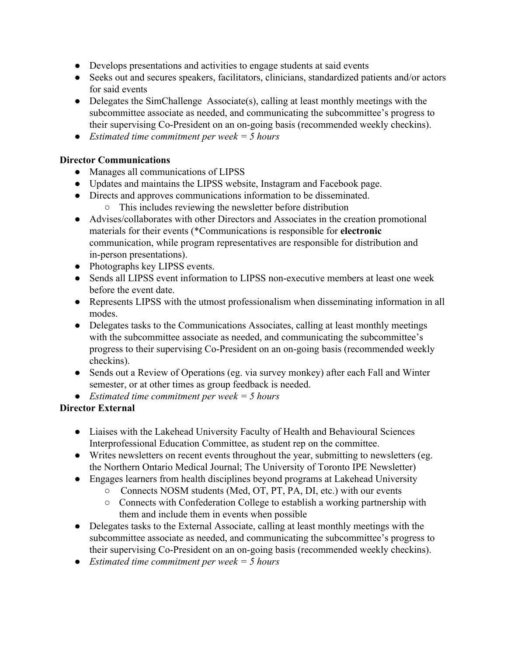- Develops presentations and activities to engage students at said events
- Seeks out and secures speakers, facilitators, clinicians, standardized patients and/or actors for said events
- Delegates the SimChallenge Associate $(s)$ , calling at least monthly meetings with the subcommittee associate as needed, and communicating the subcommittee's progress to their supervising Co-President on an on-going basis (recommended weekly checkins).
- *Estimated time commitment per week = 5 hours*

## **Director Communications**

- Manages all communications of LIPSS
- Updates and maintains the LIPSS website, Instagram and Facebook page.
- Directs and approves communications information to be disseminated.
	- This includes reviewing the newsletter before distribution
- Advises/collaborates with other Directors and Associates in the creation promotional materials for their events (\*Communications is responsible for **electronic** communication, while program representatives are responsible for distribution and in-person presentations).
- Photographs key LIPSS events.
- Sends all LIPSS event information to LIPSS non-executive members at least one week before the event date.
- Represents LIPSS with the utmost professionalism when disseminating information in all modes.
- Delegates tasks to the Communications Associates, calling at least monthly meetings with the subcommittee associate as needed, and communicating the subcommittee's progress to their supervising Co-President on an on-going basis (recommended weekly checkins).
- Sends out a Review of Operations (eg. via survey monkey) after each Fall and Winter semester, or at other times as group feedback is needed.
- *Estimated time commitment per week = 5 hours*

### **Director External**

- Liaises with the Lakehead University Faculty of Health and Behavioural Sciences Interprofessional Education Committee, as student rep on the committee.
- Writes newsletters on recent events throughout the year, submitting to newsletters (eg. the Northern Ontario Medical Journal; The University of Toronto IPE Newsletter)
- Engages learners from health disciplines beyond programs at Lakehead University
	- Connects NOSM students (Med, OT, PT, PA, DI, etc.) with our events
	- Connects with Confederation College to establish a working partnership with them and include them in events when possible
- Delegates tasks to the External Associate, calling at least monthly meetings with the subcommittee associate as needed, and communicating the subcommittee's progress to their supervising Co-President on an on-going basis (recommended weekly checkins).
- *Estimated time commitment per week = 5 hours*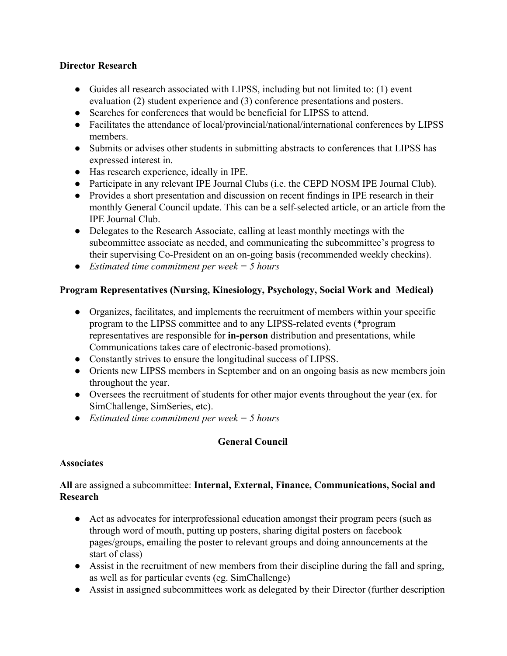### **Director Research**

- Guides all research associated with LIPSS, including but not limited to: (1) event evaluation (2) student experience and (3) conference presentations and posters.
- Searches for conferences that would be beneficial for LIPSS to attend.
- Facilitates the attendance of local/provincial/national/international conferences by LIPSS members.
- Submits or advises other students in submitting abstracts to conferences that LIPSS has expressed interest in.
- Has research experience, ideally in IPE.
- Participate in any relevant IPE Journal Clubs (i.e. the CEPD NOSM IPE Journal Club).
- Provides a short presentation and discussion on recent findings in IPE research in their monthly General Council update. This can be a self-selected article, or an article from the IPE Journal Club.
- Delegates to the Research Associate, calling at least monthly meetings with the subcommittee associate as needed, and communicating the subcommittee's progress to their supervising Co-President on an on-going basis (recommended weekly checkins).
- *Estimated time commitment per week = 5 hours*

# **Program Representatives (Nursing, Kinesiology, Psychology, Social Work and Medical)**

- Organizes, facilitates, and implements the recruitment of members within your specific program to the LIPSS committee and to any LIPSS-related events (\*program representatives are responsible for **in-person** distribution and presentations, while Communications takes care of electronic-based promotions).
- Constantly strives to ensure the longitudinal success of LIPSS.
- Orients new LIPSS members in September and on an ongoing basis as new members join throughout the year.
- Oversees the recruitment of students for other major events throughout the year (ex. for SimChallenge, SimSeries, etc).
- *Estimated time commitment per week = 5 hours*

# **General Council**

## **Associates**

### **All** are assigned a subcommittee: **Internal, External, Finance, Communications, Social and Research**

- Act as advocates for interprofessional education amongst their program peers (such as through word of mouth, putting up posters, sharing digital posters on facebook pages/groups, emailing the poster to relevant groups and doing announcements at the start of class)
- Assist in the recruitment of new members from their discipline during the fall and spring, as well as for particular events (eg. SimChallenge)
- Assist in assigned subcommittees work as delegated by their Director (further description